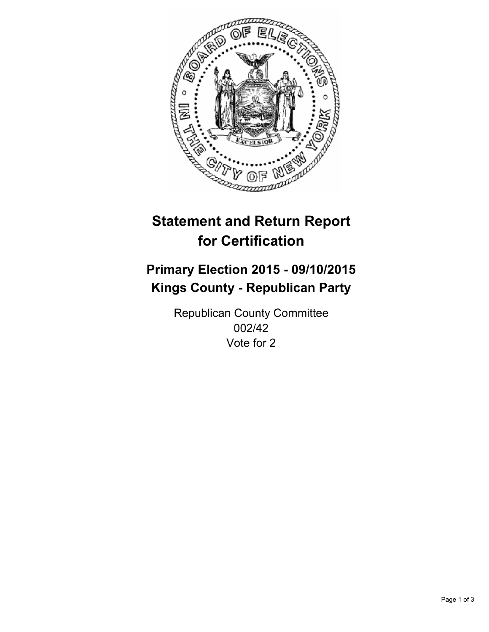

# **Statement and Return Report for Certification**

## **Primary Election 2015 - 09/10/2015 Kings County - Republican Party**

Republican County Committee 002/42 Vote for 2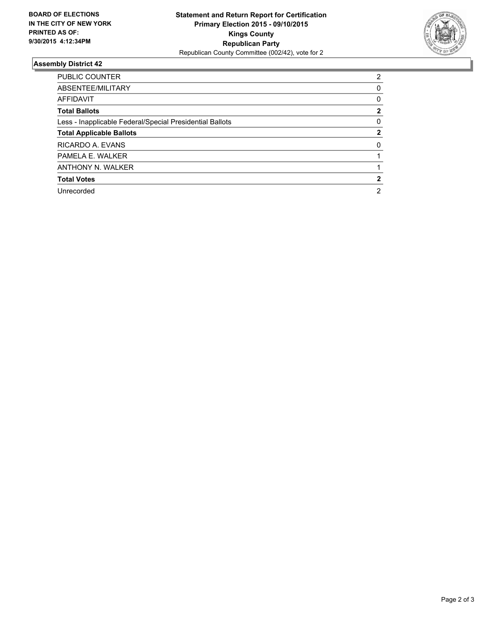

#### **Assembly District 42**

| PUBLIC COUNTER                                           | 2 |
|----------------------------------------------------------|---|
| ABSENTEE/MILITARY                                        | 0 |
| AFFIDAVIT                                                | 0 |
| <b>Total Ballots</b>                                     | 2 |
| Less - Inapplicable Federal/Special Presidential Ballots | 0 |
| <b>Total Applicable Ballots</b>                          | 2 |
| RICARDO A. EVANS                                         | 0 |
| PAMELA E. WALKER                                         |   |
| ANTHONY N. WALKER                                        |   |
| <b>Total Votes</b>                                       |   |
| Unrecorded                                               | 2 |